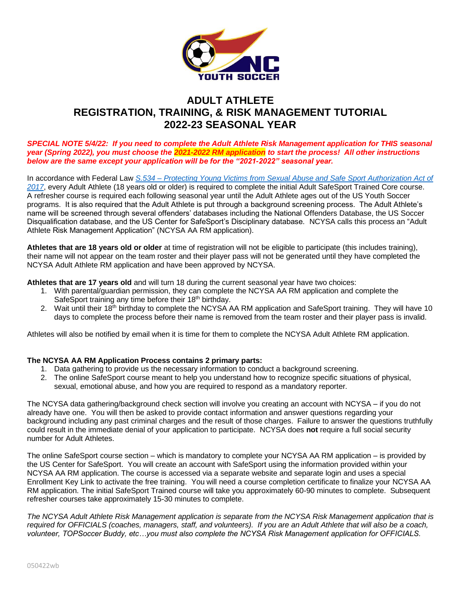

# **ADULT ATHLETE REGISTRATION, TRAINING, & RISK MANAGEMENT TUTORIAL 2022-23 SEASONAL YEAR**

*SPECIAL NOTE 5/4/22: If you need to complete the Adult Athlete Risk Management application for THIS seasonal year (Spring 2022), you must choose the 2021-2022 RM application to start the process! All other instructions below are the same except your application will be for the "2021-2022" seasonal year.*

In accordance with Federal Law *S.534 – [Protecting Young Victims from Sexual Abuse and Safe Sport Authorization Act of](https://uscenterforsafesport.org/wp-content/uploads/2019/05/Legislative-Fact-Sheet.pdf)  [2017](https://uscenterforsafesport.org/wp-content/uploads/2019/05/Legislative-Fact-Sheet.pdf)*, every Adult Athlete (18 years old or older) is required to complete the initial Adult SafeSport Trained Core course. A refresher course is required each following seasonal year until the Adult Athlete ages out of the US Youth Soccer programs. It is also required that the Adult Athlete is put through a background screening process. The Adult Athlete's name will be screened through several offenders' databases including the National Offenders Database, the US Soccer Disqualification database, and the US Center for SafeSport's Disciplinary database. NCYSA calls this process an "Adult Athlete Risk Management Application" (NCYSA AA RM application).

**Athletes that are 18 years old or older** at time of registration will not be eligible to participate (this includes training), their name will not appear on the team roster and their player pass will not be generated until they have completed the NCYSA Adult Athlete RM application and have been approved by NCYSA.

**Athletes that are 17 years old** and will turn 18 during the current seasonal year have two choices:

- 1. With parental/guardian permission, they can complete the NCYSA AA RM application and complete the SafeSport training any time before their 18<sup>th</sup> birthday.
- 2. Wait until their 18<sup>th</sup> birthday to complete the NCYSA AA RM application and SafeSport training. They will have 10 days to complete the process before their name is removed from the team roster and their player pass is invalid.

Athletes will also be notified by email when it is time for them to complete the NCYSA Adult Athlete RM application.

# **The NCYSA AA RM Application Process contains 2 primary parts:**

- 1. Data gathering to provide us the necessary information to conduct a background screening.
- 2. The online SafeSport course meant to help you understand how to recognize specific situations of physical, sexual, emotional abuse, and how you are required to respond as a mandatory reporter.

The NCYSA data gathering/background check section will involve you creating an account with NCYSA – if you do not already have one. You will then be asked to provide contact information and answer questions regarding your background including any past criminal charges and the result of those charges. Failure to answer the questions truthfully could result in the immediate denial of your application to participate. NCYSA does **not** require a full social security number for Adult Athletes.

The online SafeSport course section – which is mandatory to complete your NCYSA AA RM application – is provided by the US Center for SafeSport. You will create an account with SafeSport using the information provided within your NCYSA AA RM application. The course is accessed via a separate website and separate login and uses a special Enrollment Key Link to activate the free training. You will need a course completion certificate to finalize your NCYSA AA RM application. The initial SafeSport Trained course will take you approximately 60-90 minutes to complete. Subsequent refresher courses take approximately 15-30 minutes to complete.

The NCYSA Adult Athlete Risk Management application is separate from the NCYSA Risk Management application that is *required for OFFICIALS (coaches, managers, staff, and volunteers). If you are an Adult Athlete that will also be a coach, volunteer, TOPSoccer Buddy, etc…you must also complete the NCYSA Risk Management application for OFFICIALS.*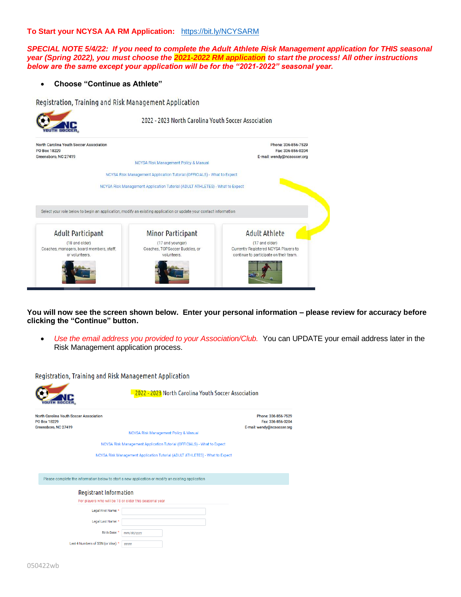### **To Start your NCYSA AA RM Application:** <https://bit.ly/NCYSARM>

*SPECIAL NOTE 5/4/22: If you need to complete the Adult Athlete Risk Management application for THIS seasonal year (Spring 2022), you must choose the 2021-2022 RM application to start the process! All other instructions below are the same except your application will be for the "2021-2022" seasonal year.*

#### • **Choose "Continue as Athlete"**

Registration, Training and Risk Management Application



**You will now see the screen shown below. Enter your personal information – please review for accuracy before clicking the "Continue" button.** 

• *Use the email address you provided to your Association/Club.* You can UPDATE your email address later in the Risk Management application process.

Registration, Training and Risk Management Application

| JTH SOC                                                                                 | 2022 - 2023 North Carolina Youth Soccer Association                                                |                                                                        |
|-----------------------------------------------------------------------------------------|----------------------------------------------------------------------------------------------------|------------------------------------------------------------------------|
| North Carolina Youth Soccer Association<br>PO Box 18229<br>Greensboro, NC 27419         | NCYSA Risk Management Policy & Manual                                                              | Phone: 336-856-7529<br>Fax: 336-856-0204<br>E-mail: wendy@ncsoccer.org |
|                                                                                         | NCYSA Risk Management Application Tutorial (OFFICIALS) - What to Expect                            |                                                                        |
|                                                                                         | NCYSA Risk Management Application Tutorial (ADULT ATHLETES) - What to Expect                       |                                                                        |
|                                                                                         |                                                                                                    |                                                                        |
|                                                                                         | Please complete the information below to start a new application or modify an existing application |                                                                        |
| <b>Registrant Information</b><br>For players who will be 18 or older this seasonal year |                                                                                                    |                                                                        |
| Legal First Name: *                                                                     |                                                                                                    |                                                                        |
| Legal Last Name: *                                                                      |                                                                                                    |                                                                        |
| Birth Date:                                                                             | mm/dd/yyyy                                                                                         |                                                                        |
| Last 4 Numbers of SSN (or Visa): *                                                      | ####                                                                                               |                                                                        |